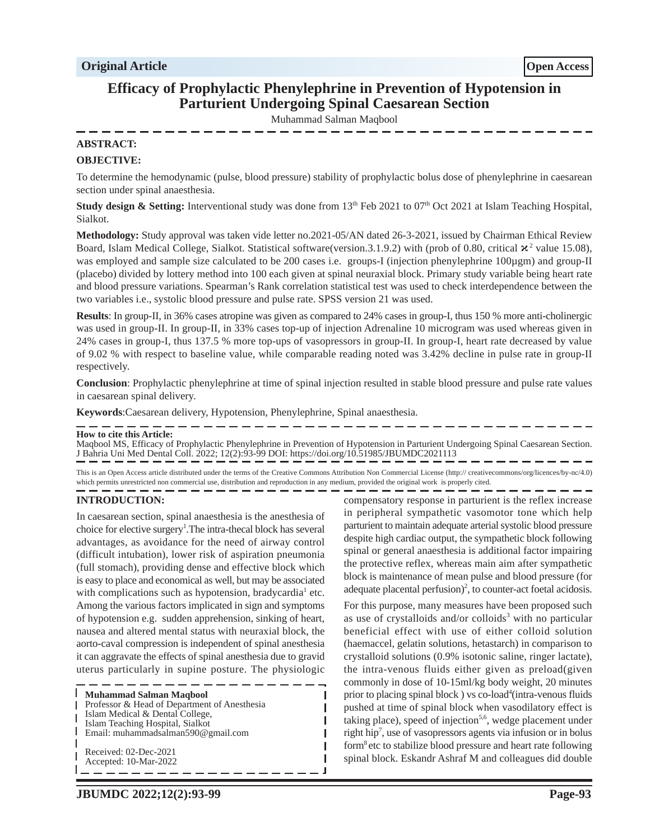# **Efficacy of Prophylactic Phenylephrine in Prevention of Hypotension in Parturient Undergoing Spinal Caesarean Section**

Muhammad Salman Maqbool

# **ABSTRACT:**

#### **OBJECTIVE:**

To determine the hemodynamic (pulse, blood pressure) stability of prophylactic bolus dose of phenylephrine in caesarean section under spinal anaesthesia.

**Study design & Setting:** Interventional study was done from  $13<sup>th</sup>$  Feb 2021 to  $07<sup>th</sup>$  Oct 2021 at Islam Teaching Hospital, Sialkot.

**Methodology:** Study approval was taken vide letter no.2021-05/AN dated 26-3-2021, issued by Chairman Ethical Review Board, Islam Medical College, Sialkot. Statistical software(version.3.1.9.2) with (prob of 0.80, critical  $x^2$  value 15.08), was employed and sample size calculated to be 200 cases i.e. groups-I (injection phenylephrine 100µgm) and group-II (placebo) divided by lottery method into 100 each given at spinal neuraxial block. Primary study variable being heart rate and blood pressure variations. Spearman's Rank correlation statistical test was used to check interdependence between the two variables i.e., systolic blood pressure and pulse rate. SPSS version 21 was used.

**Results**: In group-II, in 36% cases atropine was given as compared to 24% cases in group-I, thus 150 % more anti-cholinergic was used in group-II. In group-II, in 33% cases top-up of injection Adrenaline 10 microgram was used whereas given in 24% cases in group-I, thus 137.5 % more top-ups of vasopressors in group-II. In group-I, heart rate decreased by value of 9.02 % with respect to baseline value, while comparable reading noted was 3.42% decline in pulse rate in group-II respectively.

**Conclusion**: Prophylactic phenylephrine at time of spinal injection resulted in stable blood pressure and pulse rate values in caesarean spinal delivery.

**Keywords**:Caesarean delivery, Hypotension, Phenylephrine, Spinal anaesthesia.

#### **How to cite this Article:**

Maqbool MS, Efficacy of Prophylactic Phenylephrine in Prevention of Hypotension in Parturient Undergoing Spinal Caesarean Section. J Bahria Uni Med Dental Coll. 2022; 12(2):93-99 DOI: https://doi.org/10.51985/JBUMDC2021113

This is an Open Access article distributed under the terms of the Creative Commons Attribution Non Commercial License (http:// creativecommons/org/licences/by-nc/4.0) which permits unrestricted non commercial use, distribution and reproduction in any medium, provided the original work is properly cited.

I

I I Л

# **INTRODUCTION:**

In caesarean section, spinal anaesthesia is the anesthesia of choice for elective surgery<sup>1</sup>. The intra-thecal block has several advantages, as avoidance for the need of airway control (difficult intubation), lower risk of aspiration pneumonia (full stomach), providing dense and effective block which is easy to place and economical as well, but may be associated with complications such as hypotension, bradycardia<sup>1</sup> etc. Among the various factors implicated in sign and symptoms of hypotension e.g. sudden apprehension, sinking of heart, nausea and altered mental status with neuraxial block, the aorto-caval compression is independent of spinal anesthesia it can aggravate the effects of spinal anesthesia due to gravid uterus particularly in supine posture. The physiologic

I **Muhammad Salman Maqbool** Professor & Head of Department of Anesthesia I Islam Medical & Dental College, I Islam Teaching Hospital, Sialkot I. Email: muhammadsalman590@gmail.com Received: 02-Dec-2021 Accepted: 10-Mar-2022

compensatory response in parturient is the reflex increase in peripheral sympathetic vasomotor tone which help parturient to maintain adequate arterial systolic blood pressure despite high cardiac output, the sympathetic block following spinal or general anaesthesia is additional factor impairing the protective reflex, whereas main aim after sympathetic block is maintenance of mean pulse and blood pressure (for adequate placental perfusion)<sup>2</sup>, to counter-act foetal acidosis.

For this purpose, many measures have been proposed such as use of crystalloids and/or colloids<sup>3</sup> with no particular beneficial effect with use of either colloid solution (haemaccel, gelatin solutions, hetastarch) in comparison to crystalloid solutions (0.9% isotonic saline, ringer lactate), the intra-venous fluids either given as preload(given commonly in dose of 10-15ml/kg body weight, 20 minutes prior to placing spinal block ) vs co-load<sup>4</sup> (intra-venous fluids pushed at time of spinal block when vasodilatory effect is taking place), speed of injection<sup>5,6</sup>, wedge placement under right hip<sup>7</sup> , use of vasopressors agents via infusion or in bolus form<sup>8</sup> etc to stabilize blood pressure and heart rate following spinal block. Eskandr Ashraf M and colleagues did double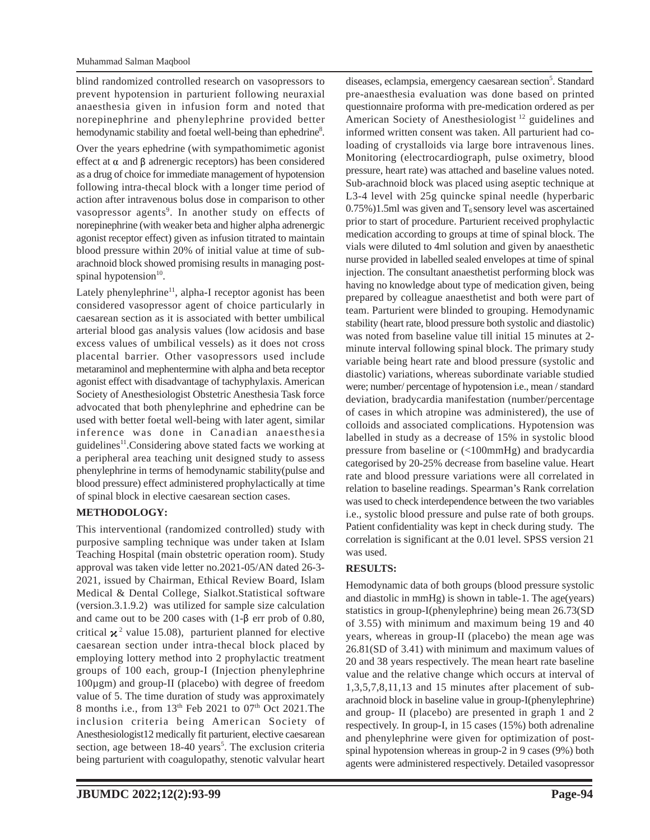blind randomized controlled research on vasopressors to prevent hypotension in parturient following neuraxial anaesthesia given in infusion form and noted that norepinephrine and phenylephrine provided better hemodynamic stability and foetal well-being than ephedrine<sup>8</sup>.

Over the years ephedrine (with sympathomimetic agonist effect at  $\alpha$  and  $\beta$  adrenergic receptors) has been considered as a drug of choice for immediate management of hypotension following intra-thecal block with a longer time period of action after intravenous bolus dose in comparison to other vasopressor agents<sup>9</sup>. In another study on effects of norepinephrine (with weaker beta and higher alpha adrenergic agonist receptor effect) given as infusion titrated to maintain blood pressure within 20% of initial value at time of subarachnoid block showed promising results in managing postspinal hypotension $10$ .

Lately phenylephrine<sup>11</sup>, alpha-I receptor agonist has been considered vasopressor agent of choice particularly in caesarean section as it is associated with better umbilical arterial blood gas analysis values (low acidosis and base excess values of umbilical vessels) as it does not cross placental barrier. Other vasopressors used include metaraminol and mephentermine with alpha and beta receptor agonist effect with disadvantage of tachyphylaxis. American Society of Anesthesiologist Obstetric Anesthesia Task force advocated that both phenylephrine and ephedrine can be used with better foetal well-being with later agent, similar inference was done in Canadian anaesthesia guidelines<sup>11</sup>. Considering above stated facts we working at a peripheral area teaching unit designed study to assess phenylephrine in terms of hemodynamic stability(pulse and blood pressure) effect administered prophylactically at time of spinal block in elective caesarean section cases.

# **METHODOLOGY:**

This interventional (randomized controlled) study with purposive sampling technique was under taken at Islam Teaching Hospital (main obstetric operation room). Study approval was taken vide letter no.2021-05/AN dated 26-3- 2021, issued by Chairman, Ethical Review Board, Islam Medical & Dental College, Sialkot.Statistical software (version.3.1.9.2) was utilized for sample size calculation and came out to be 200 cases with  $(1-\beta)$  err prob of 0.80, critical  $\chi^2$  value 15.08), parturient planned for elective caesarean section under intra-thecal block placed by employing lottery method into 2 prophylactic treatment groups of 100 each, group-I (Injection phenylephrine 100µgm) and group-II (placebo) with degree of freedom value of 5. The time duration of study was approximately 8 months i.e., from  $13<sup>th</sup>$  Feb 2021 to 07<sup>th</sup> Oct 2021. The inclusion criteria being American Society of Anesthesiologist12 medically fit parturient, elective caesarean section, age between 18-40 years<sup>5</sup>. The exclusion criteria being parturient with coagulopathy, stenotic valvular heart

diseases, eclampsia, emergency caesarean section<sup>5</sup>. Standard pre-anaesthesia evaluation was done based on printed questionnaire proforma with pre-medication ordered as per American Society of Anesthesiologist<sup>12</sup> guidelines and informed written consent was taken. All parturient had coloading of crystalloids via large bore intravenous lines. Monitoring (electrocardiograph, pulse oximetry, blood pressure, heart rate) was attached and baseline values noted. Sub-arachnoid block was placed using aseptic technique at L3-4 level with 25g quincke spinal needle (hyperbaric  $0.75\%$ )1.5ml was given and T<sub>6</sub> sensory level was ascertained prior to start of procedure. Parturient received prophylactic medication according to groups at time of spinal block. The vials were diluted to 4ml solution and given by anaesthetic nurse provided in labelled sealed envelopes at time of spinal injection. The consultant anaesthetist performing block was having no knowledge about type of medication given, being prepared by colleague anaesthetist and both were part of team. Parturient were blinded to grouping. Hemodynamic stability (heart rate, blood pressure both systolic and diastolic) was noted from baseline value till initial 15 minutes at 2 minute interval following spinal block. The primary study variable being heart rate and blood pressure (systolic and diastolic) variations, whereas subordinate variable studied were; number/ percentage of hypotension i.e., mean / standard deviation, bradycardia manifestation (number/percentage of cases in which atropine was administered), the use of colloids and associated complications. Hypotension was labelled in study as a decrease of 15% in systolic blood pressure from baseline or (<100mmHg) and bradycardia categorised by 20-25% decrease from baseline value. Heart rate and blood pressure variations were all correlated in relation to baseline readings. Spearman's Rank correlation was used to check interdependence between the two variables i.e., systolic blood pressure and pulse rate of both groups. Patient confidentiality was kept in check during study. The correlation is significant at the 0.01 level. SPSS version 21 was used.

# **RESULTS:**

Hemodynamic data of both groups (blood pressure systolic and diastolic in mmHg) is shown in table-1. The age(years) statistics in group-I(phenylephrine) being mean 26.73(SD of 3.55) with minimum and maximum being 19 and 40 years, whereas in group-II (placebo) the mean age was 26.81(SD of 3.41) with minimum and maximum values of 20 and 38 years respectively. The mean heart rate baseline value and the relative change which occurs at interval of 1,3,5,7,8,11,13 and 15 minutes after placement of subarachnoid block in baseline value in group-I(phenylephrine) and group- II (placebo) are presented in graph 1 and 2 respectively. In group-I, in 15 cases (15%) both adrenaline and phenylephrine were given for optimization of postspinal hypotension whereas in group-2 in 9 cases (9%) both agents were administered respectively. Detailed vasopressor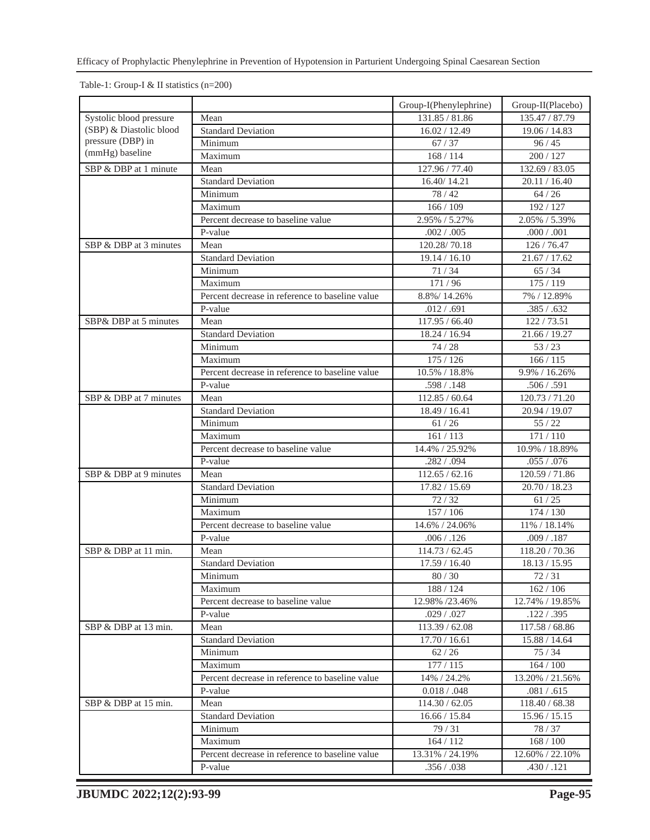Table-1: Group-I & II statistics (n=200)

|                         |                                                            | Group-I(Phenylephrine)      | Group-II(Placebo)               |
|-------------------------|------------------------------------------------------------|-----------------------------|---------------------------------|
| Systolic blood pressure | Mean                                                       | 131.85 / 81.86              | 135.47 / 87.79                  |
| (SBP) & Diastolic blood | <b>Standard Deviation</b>                                  | 16.02 / 12.49               | 19.06 / 14.83                   |
| pressure (DBP) in       | Minimum                                                    | 67/37                       | 96/45                           |
| (mmHg) baseline         | Maximum                                                    | 168/114                     | 200/127                         |
| SBP & DBP at 1 minute   | Mean                                                       | 127.96 / 77.40              | 132.69 / 83.05                  |
|                         | <b>Standard Deviation</b>                                  | 16.40/14.21                 | 20.11 / 16.40                   |
|                         | Minimum                                                    | 78/42                       | $64/26$                         |
|                         | Maximum                                                    | 166/109                     | 192 / 127                       |
|                         | Percent decrease to baseline value                         | 2.95% / 5.27%               | 2.05% / 5.39%                   |
|                         | P-value                                                    | .002 / .005                 | .000 / .001                     |
| SBP & DBP at 3 minutes  | Mean                                                       | 120.28/70.18                | 126 / 76.47                     |
|                         | <b>Standard Deviation</b>                                  | 19.14 / 16.10               | 21.67 / 17.62                   |
|                         | Minimum                                                    | 71/34                       | 65/34                           |
|                         | Maximum                                                    | 171/96                      | 175 / 119                       |
|                         | Percent decrease in reference to baseline value            | 8.8%/14.26%                 | 7% / 12.89%                     |
|                         | P-value                                                    | .012 / .691                 | .385 / .632                     |
| SBP& DBP at 5 minutes   | Mean                                                       | 117.95 / 66.40              | 122/73.51                       |
|                         | <b>Standard Deviation</b>                                  | 18.24 / 16.94               | 21.66 / 19.27                   |
|                         | Minimum                                                    | 74/28                       | 53/23                           |
|                         | Maximum                                                    | 175/126                     | 166/115                         |
|                         | Percent decrease in reference to baseline value            | 10.5% / 18.8%               | 9.9% / 16.26%                   |
|                         | P-value                                                    | .598 / .148                 | .506 / .591                     |
| SBP & DBP at 7 minutes  | Mean                                                       | 112.85 / 60.64              | 120.73 / 71.20                  |
|                         | <b>Standard Deviation</b>                                  | 18.49 / 16.41               | 20.94 / 19.07                   |
|                         | Minimum                                                    | 61/26                       | 55/22                           |
|                         | Maximum                                                    | 161/113                     | 171/110                         |
|                         | Percent decrease to baseline value                         | 14.4% / 25.92%              | 10.9% / 18.89%                  |
|                         | P-value                                                    | .282 / .094                 | .055 / .076                     |
| SBP & DBP at 9 minutes  | Mean                                                       | 112.65 / 62.16              | 120.59 / 71.86                  |
|                         | <b>Standard Deviation</b>                                  | 17.82 / 15.69               | 20.70 / 18.23                   |
|                         | Minimum                                                    | 72/32                       | 61/25                           |
|                         | Maximum                                                    | 157/106                     | 174/130                         |
|                         | Percent decrease to baseline value                         | 14.6% / 24.06%              | 11% / 18.14%                    |
|                         | P-value                                                    | .006 / .126                 | .009 / .187                     |
| SBP & DBP at 11 min.    | Mean                                                       | 114.73 / 62.45              | 118.20 / 70.36                  |
|                         | <b>Standard Deviation</b>                                  | 17.59 / 16.40               | 18.13 / 15.95                   |
|                         | Minimum                                                    | 80/30                       | 72/31                           |
|                         | Maximum                                                    | 188 / 124                   | 162 / 106                       |
|                         | Percent decrease to baseline value                         | 12.98% /23.46%              | 12.74% / 19.85%                 |
|                         | P-value                                                    | .029 / .027                 | .122 / .395                     |
| SBP & DBP at 13 min.    | Mean                                                       | 113.39 / 62.08              | 117.58 / 68.86                  |
|                         | <b>Standard Deviation</b>                                  | 17.70 / 16.61               | 15.88 / 14.64                   |
|                         | Minimum                                                    | 62/26                       | 75/34                           |
|                         |                                                            | 177/115                     | 164/100                         |
|                         | Maximum                                                    |                             |                                 |
|                         | Percent decrease in reference to baseline value<br>P-value | 14% / 24.2%<br>0.018 / .048 | 13.20% / 21.56%<br>.081 / .615  |
| SBP & DBP at 15 min.    |                                                            | 114.30 / 62.05              |                                 |
|                         | Mean<br><b>Standard Deviation</b>                          | 16.66 / 15.84               | 118.40 / 68.38<br>15.96 / 15.15 |
|                         | Minimum                                                    | 79/31                       | 78/37                           |
|                         | Maximum                                                    | 164/112                     | 168/100                         |
|                         | Percent decrease in reference to baseline value            | 13.31% / 24.19%             | 12.60% / 22.10%                 |
|                         | P-value                                                    | .356 / .038                 | .430 / .121                     |
|                         |                                                            |                             |                                 |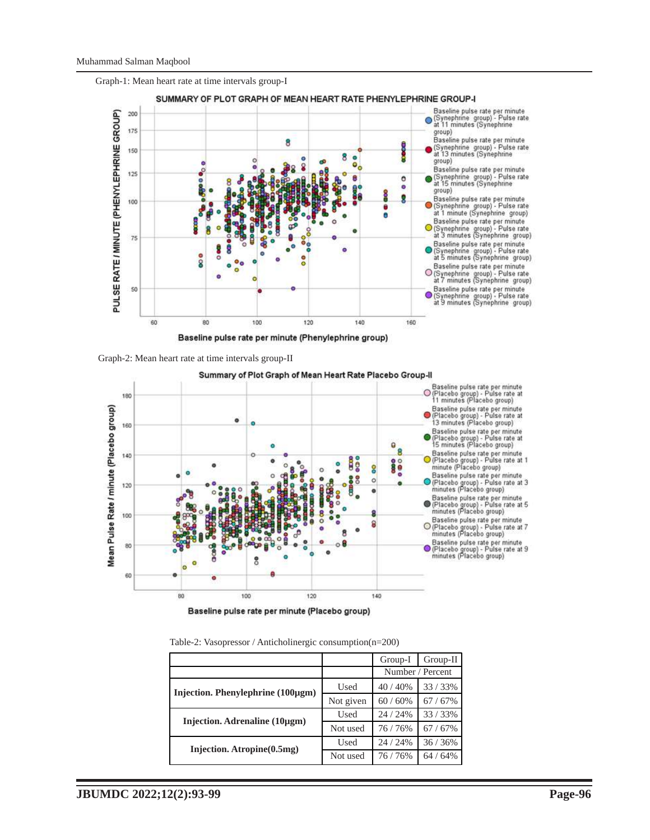

Graph-1: Mean heart rate at time intervals group-I





Baseline pulse rate per minute (Placebo group)

| Table-2: Vasopressor / Anticholinergic consumption(n=200) |  |  |  |  |
|-----------------------------------------------------------|--|--|--|--|
|-----------------------------------------------------------|--|--|--|--|

|                                   |           | Group-I          | $Group-II$ |
|-----------------------------------|-----------|------------------|------------|
|                                   |           | Number / Percent |            |
| Injection. Phenylephrine (100µgm) | Used      | 40/40%           | 33/33%     |
|                                   | Not given | 60/60%           | 67/67%     |
| Injection. Adrenaline (10µgm)     | Used      | 24 / 24%         | 33/33%     |
|                                   | Not used  | 76/76%           | 67/67%     |
| Injection. Atropine(0.5mg)        | Used      | 24 / 24%         | 36/36%     |
|                                   | Not used  | 76/76%           | 64 / 64%   |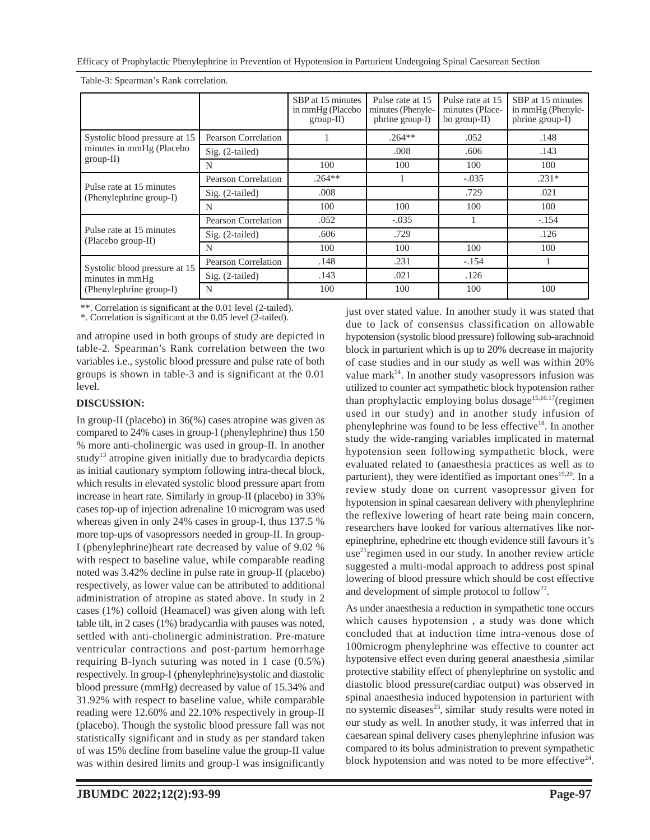Efficacy of Prophylactic Phenylephrine in Prevention of Hypotension in Parturient Undergoing Spinal Caesarean Section

|                                                                             |                     | SBP at 15 minutes<br>in mmHg (Placebo<br>$group-II)$ | Pulse rate at 15<br>minutes (Phenyle-<br>phrine group-I) | Pulse rate at 15<br>minutes (Place-<br>bo group- $II$ ) | SBP at 15 minutes<br>in mmHg (Phenyle-<br>phrine group-I) |
|-----------------------------------------------------------------------------|---------------------|------------------------------------------------------|----------------------------------------------------------|---------------------------------------------------------|-----------------------------------------------------------|
| Systolic blood pressure at 15<br>minutes in mmHg (Placebo<br>$group-II)$    | Pearson Correlation |                                                      | $.264**$                                                 | .052                                                    | .148                                                      |
|                                                                             | $Sig. (2-tailed)$   |                                                      | .008                                                     | .606                                                    | .143                                                      |
|                                                                             | N                   | 100                                                  | 100                                                      | 100                                                     | 100                                                       |
| Pulse rate at 15 minutes<br>(Phenylephrine group-I)                         | Pearson Correlation | $.264**$                                             |                                                          | $-.035$                                                 | $.231*$                                                   |
|                                                                             | $Sig. (2-tailed)$   | .008                                                 |                                                          | .729                                                    | .021                                                      |
|                                                                             | N                   | 100                                                  | 100                                                      | 100                                                     | 100                                                       |
| Pulse rate at 15 minutes<br>(Placebo group-II)                              | Pearson Correlation | .052                                                 | $-.035$                                                  |                                                         | $-.154$                                                   |
|                                                                             | $Sig. (2-tailed)$   | .606                                                 | .729                                                     |                                                         | .126                                                      |
|                                                                             | N                   | 100                                                  | 100                                                      | 100                                                     | 100                                                       |
| Systolic blood pressure at 15<br>minutes in mmHg<br>(Phenylephrine group-I) | Pearson Correlation | .148                                                 | .231                                                     | $-.154$                                                 |                                                           |
|                                                                             | $Sig. (2-tailed)$   | .143                                                 | .021                                                     | .126                                                    |                                                           |
|                                                                             | N                   | 100                                                  | 100                                                      | 100                                                     | 100                                                       |

Table-3: Spearman's Rank correlation.

\*\*. Correlation is significant at the 0.01 level (2-tailed).

\*. Correlation is significant at the 0.05 level (2-tailed).

and atropine used in both groups of study are depicted in table-2. Spearman's Rank correlation between the two variables i.e., systolic blood pressure and pulse rate of both groups is shown in table-3 and is significant at the 0.01 level.

# **DISCUSSION:**

In group-II (placebo) in 36(%) cases atropine was given as compared to 24% cases in group-I (phenylephrine) thus 150 % more anti-cholinergic was used in group-II. In another study<sup>13</sup> atropine given initially due to bradycardia depicts as initial cautionary symptom following intra-thecal block, which results in elevated systolic blood pressure apart from increase in heart rate. Similarly in group-II (placebo) in 33% cases top-up of injection adrenaline 10 microgram was used whereas given in only 24% cases in group-I, thus 137.5 % more top-ups of vasopressors needed in group-II. In group-I (phenylephrine)heart rate decreased by value of 9.02 % with respect to baseline value, while comparable reading noted was 3.42% decline in pulse rate in group-II (placebo) respectively, as lower value can be attributed to additional administration of atropine as stated above. In study in 2 cases (1%) colloid (Heamacel) was given along with left table tilt, in 2 cases (1%) bradycardia with pauses was noted, settled with anti-cholinergic administration. Pre-mature ventricular contractions and post-partum hemorrhage requiring B-lynch suturing was noted in 1 case (0.5%) respectively. In group-I (phenylephrine)systolic and diastolic blood pressure (mmHg) decreased by value of 15.34% and 31.92% with respect to baseline value, while comparable reading were 12.60% and 22.10% respectively in group-II (placebo). Though the systolic blood pressure fall was not statistically significant and in study as per standard taken of was 15% decline from baseline value the group-II value was within desired limits and group-I was insignificantly just over stated value. In another study it was stated that due to lack of consensus classification on allowable hypotension (systolic blood pressure) following sub-arachnoid block in parturient which is up to 20% decrease in majority of case studies and in our study as well was within 20% value mark $14$ . In another study vasopressors infusion was utilized to counter act sympathetic block hypotension rather than prophylactic employing bolus dosage<sup>15,16.17</sup>(regimen used in our study) and in another study infusion of phenylephrine was found to be less effective<sup>18</sup>. In another study the wide-ranging variables implicated in maternal hypotension seen following sympathetic block, were evaluated related to (anaesthesia practices as well as to parturient), they were identified as important ones<sup>19,20</sup>. In a review study done on current vasopressor given for hypotension in spinal caesarean delivery with phenylephrine the reflexive lowering of heart rate being main concern, researchers have looked for various alternatives like norepinephrine, ephedrine etc though evidence still favours it's  $use<sup>21</sup>$ regimen used in our study. In another review article suggested a multi-modal approach to address post spinal lowering of blood pressure which should be cost effective and development of simple protocol to follow<sup>22</sup>.

As under anaesthesia a reduction in sympathetic tone occurs which causes hypotension , a study was done which concluded that at induction time intra-venous dose of 100microgm phenylephrine was effective to counter act hypotensive effect even during general anaesthesia ,similar protective stability effect of phenylephrine on systolic and diastolic blood pressure(cardiac output) was observed in spinal anaesthesia induced hypotension in parturient with no systemic diseases $^{23}$ , similar study results were noted in our study as well. In another study, it was inferred that in caesarean spinal delivery cases phenylephrine infusion was compared to its bolus administration to prevent sympathetic block hypotension and was noted to be more effective $24$ .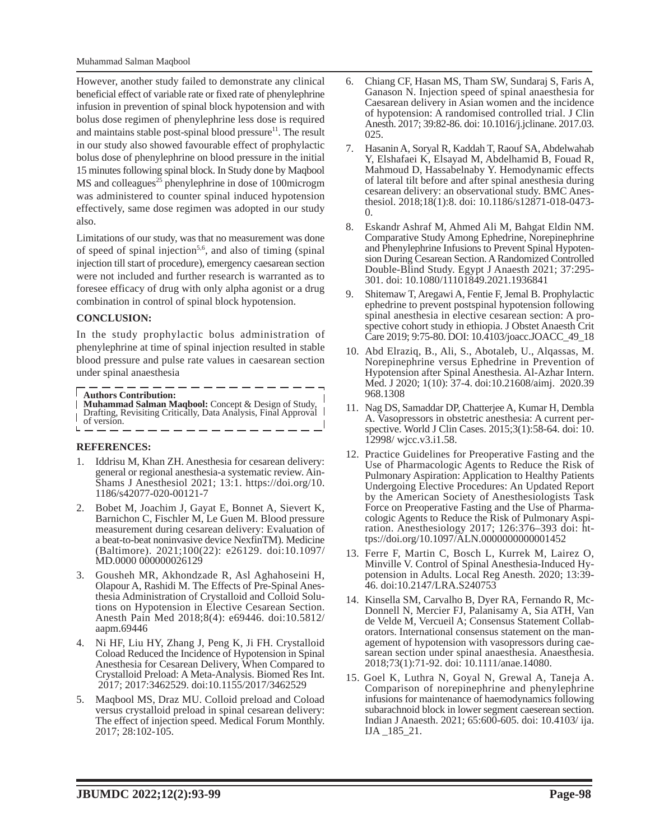However, another study failed to demonstrate any clinical beneficial effect of variable rate or fixed rate of phenylephrine infusion in prevention of spinal block hypotension and with bolus dose regimen of phenylephrine less dose is required and maintains stable post-spinal blood pressure $11$ . The result in our study also showed favourable effect of prophylactic bolus dose of phenylephrine on blood pressure in the initial 15 minutes following spinal block. In Study done by Maqbool  $MS$  and colleagues<sup>25</sup> phenylephrine in dose of 100microgm was administered to counter spinal induced hypotension effectively, same dose regimen was adopted in our study also.

Limitations of our study, was that no measurement was done of speed of spinal injection<sup>5,6</sup>, and also of timing (spinal injection till start of procedure), emergency caesarean section were not included and further research is warranted as to foresee efficacy of drug with only alpha agonist or a drug combination in control of spinal block hypotension.

#### **CONCLUSION:**

In the study prophylactic bolus administration of phenylephrine at time of spinal injection resulted in stable blood pressure and pulse rate values in caesarean section under spinal anaesthesia

**Authors Contribution:**

- **Muhammad Salman Maqbool:** Concept & Design of Study, Drafting, Revisiting Critically, Data Analysis, Final Approval
- of version.

#### **REFERENCES:**

L

- Iddrisu M, Khan ZH. Anesthesia for cesarean delivery: general or regional anesthesia-a systematic review. Ain-Shams J Anesthesiol 2021; 13:1. https://doi.org/10. 1186/s42077-020-00121-7
- 2. Bobet M, Joachim J, Gayat E, Bonnet A, Sievert K, Barnichon C, Fischler M, Le Guen M. Blood pressure measurement during cesarean delivery: Evaluation of a beat-to-beat noninvasive device NexfinTM). Medicine (Baltimore). 2021;100(22): e26129. doi:10.1097/ MD.0000 000000026129
- 3. Gousheh MR, Akhondzade R, Asl Aghahoseini H, Olapour A, Rashidi M. The Effects of Pre-Spinal Anesthesia Administration of Crystalloid and Colloid Solutions on Hypotension in Elective Cesarean Section. Anesth Pain Med 2018;8(4): e69446. doi:10.5812/ aapm.69446
- 4. Ni HF, Liu HY, Zhang J, Peng K, Ji FH. Crystalloid Coload Reduced the Incidence of Hypotension in Spinal Anesthesia for Cesarean Delivery, When Compared to Crystalloid Preload: A Meta-Analysis. Biomed Res Int. 2017; 2017:3462529. doi:10.1155/2017/3462529
- 5. Maqbool MS, Draz MU. Colloid preload and Coload versus crystalloid preload in spinal cesarean delivery: The effect of injection speed. Medical Forum Monthly. 2017; 28:102-105.
- 6. Chiang CF, Hasan MS, Tham SW, Sundaraj S, Faris A, Ganason N. Injection speed of spinal anaesthesia for Caesarean delivery in Asian women and the incidence of hypotension: A randomised controlled trial. J Clin Anesth. 2017; 39:82-86. doi: 10.1016/j.jclinane. 2017.03. 025.
- 7. Hasanin A, Soryal R, Kaddah T, Raouf SA, Abdelwahab Y, Elshafaei K, Elsayad M, Abdelhamid B, Fouad R, Mahmoud D, Hassabelnaby Y. Hemodynamic effects of lateral tilt before and after spinal anesthesia during cesarean delivery: an observational study. BMC Anesthesiol. 2018;18(1):8. doi: 10.1186/s12871-018-0473-  $\Omega$ .
- 8. Eskandr Ashraf M, Ahmed Ali M, Bahgat Eldin NM. Comparative Study Among Ephedrine, Norepinephrine and Phenylephrine Infusions to Prevent Spinal Hypotension During Cesarean Section. A Randomized Controlled Double-Blind Study. Egypt J Anaesth 2021; 37:295- 301. doi: 10.1080/11101849.2021.1936841
- 9. Shitemaw T, Aregawi A, Fentie F, Jemal B. Prophylactic ephedrine to prevent postspinal hypotension following spinal anesthesia in elective cesarean section: A prospective cohort study in ethiopia. J Obstet Anaesth Crit Care 2019; 9:75-80. DOI: 10.4103/joacc.JOACC\_49\_18
- 10. Abd Elraziq, B., Ali, S., Abotaleb, U., Alqassas, M. Norepinephrine versus Ephedrine in Prevention of Hypotension after Spinal Anesthesia. Al-Azhar Intern. Med. J 2020; 1(10): 37-4. doi:10.21608/aimj. 2020.39 968.1308
- 11. Nag DS, Samaddar DP, Chatterjee A, Kumar H, Dembla A. Vasopressors in obstetric anesthesia: A current perspective. World J Clin Cases. 2015;3(1):58-64. doi: 10. 12998/ wjcc.v3.i1.58.
- 12. Practice Guidelines for Preoperative Fasting and the Use of Pharmacologic Agents to Reduce the Risk of Pulmonary Aspiration: Application to Healthy Patients Undergoing Elective Procedures: An Updated Report by the American Society of Anesthesiologists Task Force on Preoperative Fasting and the Use of Pharmacologic Agents to Reduce the Risk of Pulmonary Aspiration. Anesthesiology 2017; 126:376–393 doi: https://doi.org/10.1097/ALN.0000000000001452
- 13. Ferre F, Martin C, Bosch L, Kurrek M, Lairez O, Minville V. Control of Spinal Anesthesia-Induced Hypotension in Adults. Local Reg Anesth. 2020; 13:39- 46. doi:10.2147/LRA.S240753
- 14. Kinsella SM, Carvalho B, Dyer RA, Fernando R, Mc-Donnell N, Mercier FJ, Palanisamy A, Sia ATH, Van de Velde M, Vercueil A; Consensus Statement Collaborators. International consensus statement on the management of hypotension with vasopressors during caesarean section under spinal anaesthesia. Anaesthesia. 2018;73(1):71-92. doi: 10.1111/anae.14080.
- 15. Goel K, Luthra N, Goyal N, Grewal A, Taneja A. Comparison of norepinephrine and phenylephrine infusions for maintenance of haemodynamics following subarachnoid block in lower segment caeserean section. Indian J Anaesth. 2021; 65:600-605. doi: 10.4103/ ija. IJA \_185\_21.